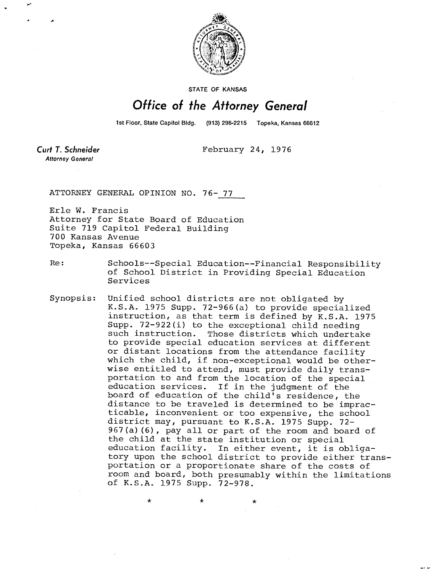

**STATE OF KANSAS** 

## Office of the Attorney General

1st Floor, State Capitol Bldg. (913) 296-2215 Topeka, Kansas 66612

**Curt T. Schneider Attorney General** 

February 24, 1976

ATTORNEY GENERAL OPINION NO. 76- 77

Erle W. Francis Attorney for State Board of Education Suite 719 Capitol Federal Building 700 Kansas Avenue Topeka, Kansas 66603

Re: Schools--Special Education--Financial Responsibility of School District in Providing Special Education Services

Synopsis: Unified school districts are not obligated by K.S.A. 1975 Supp. 72-966(a) to provide specialized instruction, as that term is defined by K.S.A. 1975 Supp. 72-922(i) to the exceptional child needing such instruction. Those districts which undertake to provide special education services at different or distant locations from the attendance facility which the child, if non-exceptional would be otherwise entitled to attend, must provide daily transportation to and from the location of the special education services. If in the judgment of the board of education of the child's residence, the distance to be traveled is determined to be impracticable, inconvenient or too expensive, the school district may, pursuant to K.S.A. 1975 Supp. 72- 967(a)(6), pay all or part of the room and board of the child at the state institution or special education facility. In either event, it is obligatory upon the school district to provide either transportation or a proportionate share of the costs of room and board, both presumably within the limitations of K.S.A. 1975 Supp. 72-978.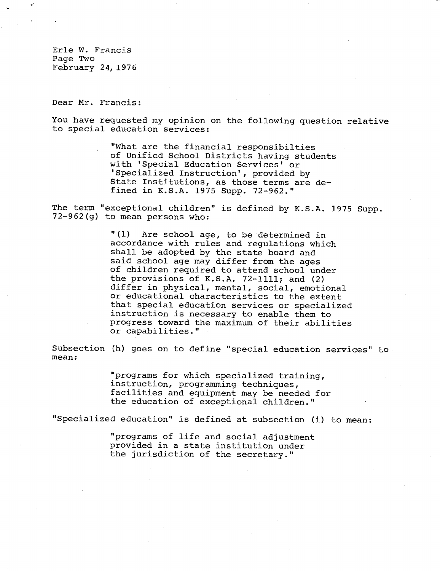Erle W. Francis Page Two February 24, 1976

Dear Mr. Francis:

You have requested my opinion on the following question relative to special education services:

> "What are the financial responsibilties of Unified School Districts having students with 'Special Education Services' or 'Specialized Instruction', provided by State Institutions, as those terms are defined in K.S.A. 1975 Supp. 72-962."

The term "exceptional children" is defined by K.S.A. 1975 Supp. 72-962(g) to mean persons who:

> "(1) Are school age, to be determined in accordance with rules and regulations which shall be adopted by the state board and said school age may differ from the ages of children required to attend school under the provisions of K.S.A. 72-1111; and (2) differ in physical, mental, social, emotional or educational characteristics to the extent that special education services or specialized instruction is necessary to enable them to progress toward the maximum of their abilities or capabilities."

Subsection (h) goes on to define "special education services" to mean:

> "programs for which specialized training, instruction, programming techniques, facilities and equipment may be needed for the education of exceptional children."

"Specialized education" is defined at subsection (i) to mean:

"programs of life and social adjustment provided in a state institution under the jurisdiction of the secretary."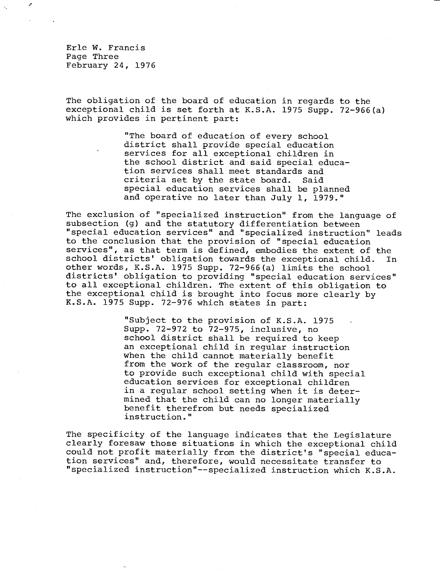Erle W. Francis Page Three February 24, 1976

The obligation of the board of education in regards to the exceptional child is set forth at K.S.A. 1975 Supp. 72-966(a) which provides in pertinent part:

> "The board of education of every school district shall provide special education services for all exceptional children in the school district and said special education services shall meet standards and criteria set by the state board. Said special education services shall be planned and operative no later than July 1, 1979."

The exclusion of "specialized instruction" from the language of subsection (g) and the statutory differentiation between "special education services" and "specialized instruction" leads to the conclusion that the provision of "special education services", as that term is defined, embodies the extent of the school districts' obligation towards the exceptional child. In other words, K.S.A. 1975 Supp. 72-966(a) limits the school districts' obligation to providing "special education services" to all exceptional children. The extent of this obligation to the exceptional child is brought into focus more clearly by K.S.A. 1975 Supp. 72-976 which states in part:

> "Subject to the provision of K.S.A. 1975 Supp. 72-972 to 72-975, inclusive, no school district shall be required to keep an exceptional child in regular instruction when the child cannot materially benefit from the work of the regular classroom, nor to provide such exceptional child with special education services for exceptional children in a regular school setting when it is determined that the child can no longer materially benefit therefrom but needs specialized instruction."

The specificity of the language indicates that the Legislature clearly foresaw those situations in which the exceptional child could not profit materially from the district's "special education services" and, therefore, would necessitate transfer to "specialized instruction"--specialized instruction which K.S.A.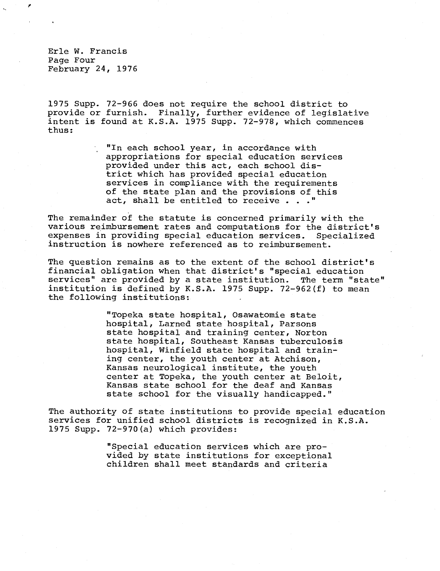Erle W. Francis Page Four February 24, 1976

1975 Supp. 72-966 does not require the school district to provide or furnish. Finally, further evidence of legislative intent is found at K.S.A. 1975 Supp. 72-978, which commences thus:

> "In each school year, in accordance with appropriations for special education services provided under this act, each school district which has provided special education services in compliance with the requirements of the state plan and the provisions of this act, shall be entitled to receive . . ."

The remainder of the statute is concerned primarily with the various reimbursement rates and computations for the district's expenses in providing special education services. Specialized instruction is nowhere referenced as to reimbursement.

The question remains as to the extent of the school district's financial obligation when that district's "special education services" are provided by a state institution. The term "state" institution is defined by K.S.A. 1975 Supp. 72-962(f) to mean the following institutions:

> "Topeka state hospital, Osawatomie state hospital, Larned state hospital, Parsons state hospital and training center, Norton state hospital, Southeast Kansas tuberculosis hospital, Winfield state hospital and training center, the youth center at Atchison, Kansas neurological institute, the youth center at Topeka, the youth center at Beloit, Kansas state school for the deaf and Kansas state school for the visually handicapped."

The authority of state institutions to provide special education services for unified school districts is recognized in K.S.A. 1975 Supp. 72-970(a) which provides:

> "Special education services which are provided by state institutions for exceptional children shall meet standards and criteria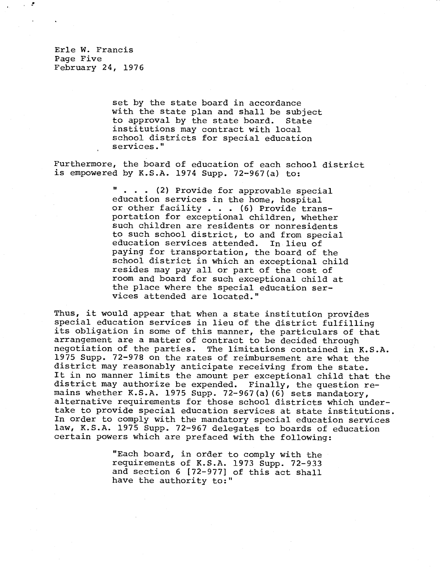Erle W. Francis Page Five February 24, 1976

> set by the state board in accordance with the state plan and shall be subject to approval by the state board. State institutions may contract with local school districts for special education services."

Furthermore, the board of education of each school district is empowered by K.S.A. 1974 Supp. 72-967(a) to:

> . . . (2) Provide for approvable special education services in the home, hospital or other facility . . . (6) Provide transportation for exceptional children, whether such children are residents or nonresidents to such school district, to and from special education services attended. In lieu of paying for transportation, the board of the school district in which an exceptional child resides may pay all or part of the cost of room and board for such exceptional child at the place where the special education services attended are located."

Thus, it would appear that when a state institution provides special education services in lieu of the district fulfilling its obligation in some of this manner, the particulars of that arrangement are a matter of contract to be decided through negotiation of the parties. The limitations contained in K.S.A. 1975 Supp. 72-978 on the rates of reimbursement are what the district may reasonably anticipate receiving from the state. It in no manner limits the amount per exceptional child that the district may authorize be expended. Finally, the question remains whether K.S.A. 1975 Supp. 72-967(a)(6) sets mandatory, alternative requirements for those school districts which undertake to provide special education services at state institutions. In order to comply with the mandatory special education services law, K.S.A. 1975 Supp. 72-967 delegates to boards of education certain powers which are prefaced with the following:

> "Each board, in order to comply with the requirements of K.S.A. 1973 Supp. 72-933 and section 6 [72-977] of this act shall have the authority to:"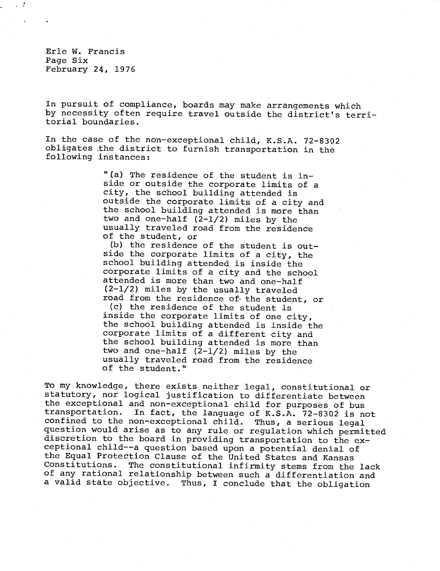Erle W. Francis Page Six February 24, 1976

In pursuit of compliance, boards may make arrangements which by necessity often require travel outside the district's territorial boundaries.

In the case of the non-exceptional child, K.S.A. 72-8302 obligates the district to furnish transportation in the following instances:

> "(a) The residence of the student is inside or outside the corporate limits of a city, the school building attended is outside the corporate limits of a city and the school building attended is more than two and one-half (2-1/2) miles by the usually traveled road from the residence of the student, or

> (b) the residence of the student is outside the corporate limits of a city, the school building attended is inside the corporate limits of a city and the school attended is more than two and one-half (2-1/2) miles by the usually traveled road from the residence of the student, or

> (c) the residence of the student is inside the corporate limits of one city, the school building attended is inside the corporate limits of a different city and the school building attended is more than two and one-half (2-1/2) miles by the usually traveled road from the residence of the student."

To my knowledge, there exists neither legal, constitutional or statutory, nor logical justification to differentiate between the exceptional and non-exceptional child for purposes of bus<br>transportation. In fact, the language of K.S.A. 72-8302 is no In fact, the language of K.S.A. 72-8302 is not confined to the non-exceptional child. Thus, a serious legal question would arise as to any rule or regulation which permitted discretion to the board in providing transportation to the exceptional child--a question based upon a potential denial of the Equal Protection Clause of the United States and Kansas<br>Constitutions. The constitutional infirmity stems from the The constitutional infirmity stems from the lack of any rational relationship between such a differentiation and a valid state objective. Thus, I conclude that the obligation